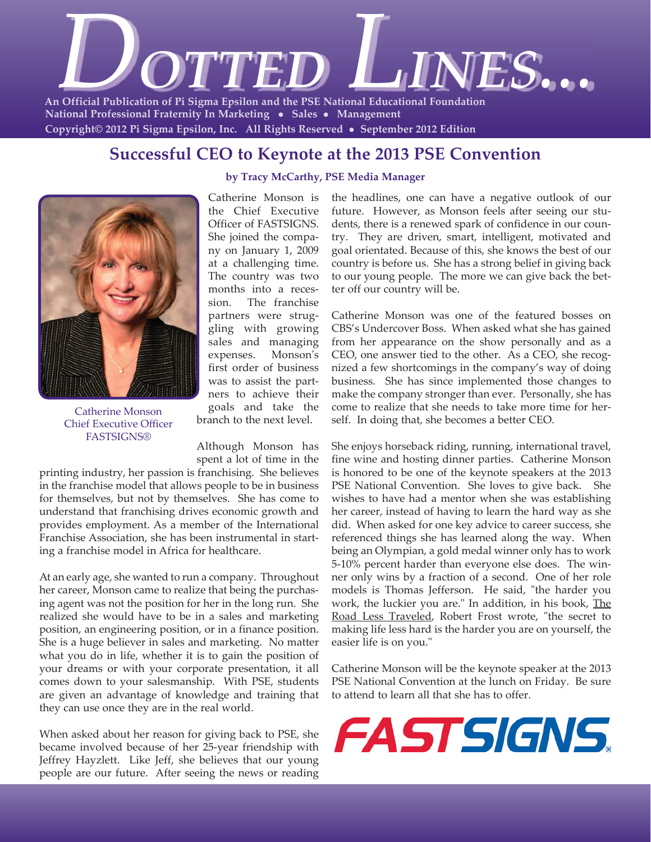

**National Professional Fraternity In Marketing • Sales • Management Copyright© 2012 Pi Sigma Epsilon, Inc. All Rights Reserved** z **September 2012 Edition** 

### **Successful CEO to Keynote at the 2013 PSE Convention**



Catherine Monson Chief Executive Officer **FASTSIGNS®** 

**by Tracy McCarthy, PSE Media Manager**

Catherine Monson is the Chief Executive Officer of FASTSIGNS. She joined the company on January 1, 2009 at a challenging time. The country was two months into a recession. The franchise partners were struggling with growing sales and managing expenses. Monson's first order of business was to assist the partners to achieve their goals and take the branch to the next level.

Although Monson has

spent a lot of time in the

printing industry, her passion is franchising. She believes in the franchise model that allows people to be in business for themselves, but not by themselves. She has come to understand that franchising drives economic growth and provides employment. As a member of the International Franchise Association, she has been instrumental in starting a franchise model in Africa for healthcare.

At an early age, she wanted to run a company. Throughout her career, Monson came to realize that being the purchasing agent was not the position for her in the long run. She realized she would have to be in a sales and marketing position, an engineering position, or in a finance position. She is a huge believer in sales and marketing. No matter what you do in life, whether it is to gain the position of your dreams or with your corporate presentation, it all comes down to your salesmanship. With PSE, students are given an advantage of knowledge and training that they can use once they are in the real world.

When asked about her reason for giving back to PSE, she became involved because of her 25-year friendship with Jeffrey Hayzlett. Like Jeff, she believes that our young people are our future. After seeing the news or reading the headlines, one can have a negative outlook of our future. However, as Monson feels after seeing our students, there is a renewed spark of confidence in our country. They are driven, smart, intelligent, motivated and goal orientated. Because of this, she knows the best of our country is before us. She has a strong belief in giving back to our young people. The more we can give back the better off our country will be.

Catherine Monson was one of the featured bosses on CBS's Undercover Boss. When asked what she has gained from her appearance on the show personally and as a CEO, one answer tied to the other. As a CEO, she recognized a few shortcomings in the company's way of doing business. She has since implemented those changes to make the company stronger than ever. Personally, she has come to realize that she needs to take more time for herself. In doing that, she becomes a better CEO.

She enjoys horseback riding, running, international travel, fine wine and hosting dinner parties. Catherine Monson is honored to be one of the keynote speakers at the 2013 PSE National Convention. She loves to give back. She wishes to have had a mentor when she was establishing her career, instead of having to learn the hard way as she did. When asked for one key advice to career success, she referenced things she has learned along the way. When being an Olympian, a gold medal winner only has to work 5-10% percent harder than everyone else does. The winner only wins by a fraction of a second. One of her role models is Thomas Jefferson. He said, "the harder you work, the luckier you are." In addition, in his book, The Road Less Traveled, Robert Frost wrote, "the secret to making life less hard is the harder you are on yourself, the easier life is on you."

Catherine Monson will be the keynote speaker at the 2013 PSE National Convention at the lunch on Friday. Be sure to attend to learn all that she has to offer.

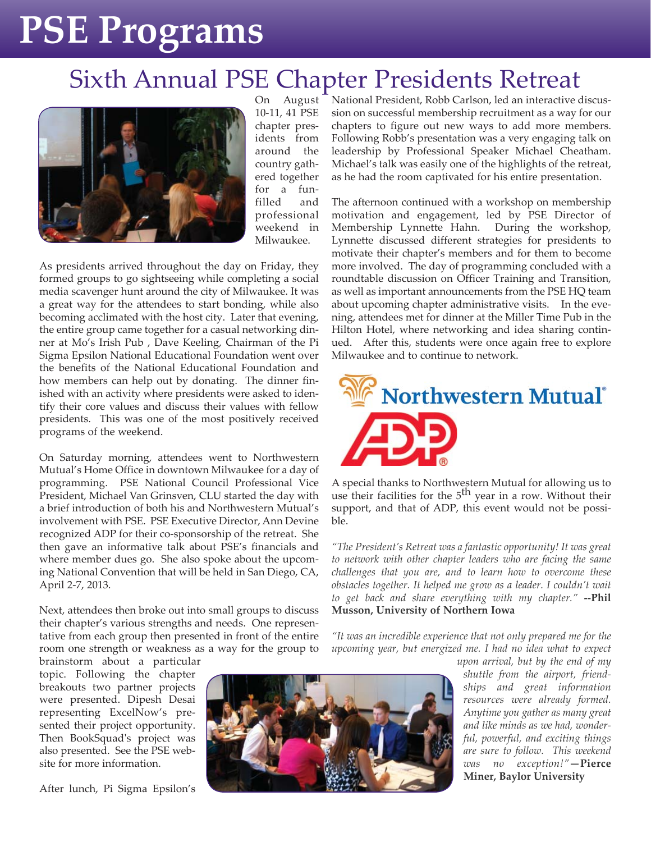## Sixth Annual PSE Chapter Presidents Retreat



On August 10-11, 41 PSE chapter presidents from around the country gathered together for a funfilled and professional weekend in Milwaukee.

As presidents arrived throughout the day on Friday, they formed groups to go sightseeing while completing a social media scavenger hunt around the city of Milwaukee. It was a great way for the attendees to start bonding, while also becoming acclimated with the host city. Later that evening, the entire group came together for a casual networking dinner at Mo's Irish Pub , Dave Keeling, Chairman of the Pi Sigma Epsilon National Educational Foundation went over the benefits of the National Educational Foundation and how members can help out by donating. The dinner finished with an activity where presidents were asked to identify their core values and discuss their values with fellow presidents. This was one of the most positively received programs of the weekend.

On Saturday morning, attendees went to Northwestern Mutual's Home Office in downtown Milwaukee for a day of programming. PSE National Council Professional Vice President, Michael Van Grinsven, CLU started the day with a brief introduction of both his and Northwestern Mutual's involvement with PSE. PSE Executive Director, Ann Devine recognized ADP for their co-sponsorship of the retreat. She then gave an informative talk about PSE's financials and where member dues go. She also spoke about the upcoming National Convention that will be held in San Diego, CA, April 2-7, 2013.

Next, attendees then broke out into small groups to discuss their chapter's various strengths and needs. One representative from each group then presented in front of the entire room one strength or weakness as a way for the group to

brainstorm about a particular topic. Following the chapter breakouts two partner projects were presented. Dipesh Desai representing ExcelNow's presented their project opportunity. Then BookSquad's project was also presented. See the PSE website for more information.

After lunch, Pi Sigma Epsilon's



National President, Robb Carlson, led an interactive discussion on successful membership recruitment as a way for our chapters to figure out new ways to add more members. Following Robb's presentation was a very engaging talk on leadership by Professional Speaker Michael Cheatham. Michael's talk was easily one of the highlights of the retreat, as he had the room captivated for his entire presentation.

The afternoon continued with a workshop on membership motivation and engagement, led by PSE Director of Membership Lynnette Hahn. During the workshop, Lynnette discussed different strategies for presidents to motivate their chapter's members and for them to become more involved. The day of programming concluded with a roundtable discussion on Officer Training and Transition, as well as important announcements from the PSE HQ team about upcoming chapter administrative visits. In the evening, attendees met for dinner at the Miller Time Pub in the Hilton Hotel, where networking and idea sharing continued. After this, students were once again free to explore Milwaukee and to continue to network.



A special thanks to Northwestern Mutual for allowing us to use their facilities for the  $5<sup>th</sup>$  year in a row. Without their support, and that of ADP, this event would not be possible.

*"The President's Retreat was a fantastic opportunity! It was great to network with other chapter leaders who are facing the same challenges that you are, and to learn how to overcome these obstacles together. It helped me grow as a leader. I couldn't wait to get back and share everything with my chapter."* **--Phil Musson, University of Northern Iowa**

*"It was an incredible experience that not only prepared me for the upcoming year, but energized me. I had no idea what to expect*

> *upon arrival, but by the end of my shuttle from the airport, friendships and great information resources were already formed. Anytime you gather as many great and like minds as we had, wonderful, powerful, and exciting things are sure to follow. This weekend was no exception!"***—Pierce Miner, Baylor University**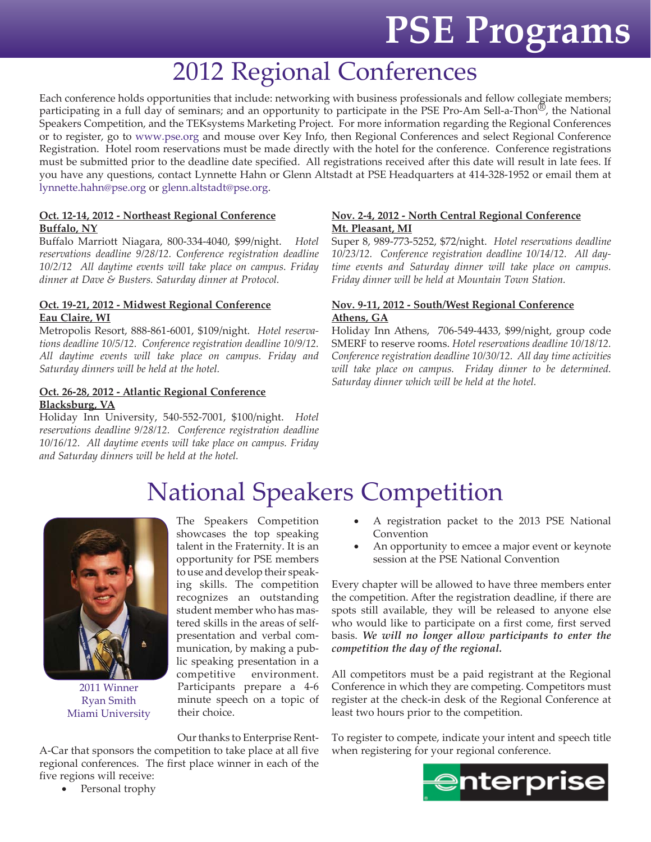## 2012 Regional Conferences

Each conference holds opportunities that include: networking with business professionals and fellow collegiate members; participating in a full day of seminars; and an opportunity to participate in the PSE Pro-Am Sell-a-Thon<sup>®</sup>, the National Speakers Competition, and the TEKsystems Marketing Project. For more information regarding the Regional Conferences or to register, go to www.pse.org and mouse over Key Info, then Regional Conferences and select Regional Conference Registration. Hotel room reservations must be made directly with the hotel for the conference. Conference registrations must be submitted prior to the deadline date specified. All registrations received after this date will result in late fees. If you have any questions, contact Lynnette Hahn or Glenn Altstadt at PSE Headquarters at 414-328-1952 or email them at lynnette.hahn@pse.org or glenn.altstadt@pse.org.

#### **Oct. 12-14, 2012 - Northeast Regional Conference Buffalo, NY**

Buffalo Marriott Niagara, 800-334-4040, \$99/night. *Hotel reservations deadline 9/28/12. Conference registration deadline 10/2/12 All daytime events will take place on campus. Friday dinner at Dave & Busters. Saturday dinner at Protocol.* 

#### **Oct. 19-21, 2012 - Midwest Regional Conference Eau Claire, WI**

Metropolis Resort, 888-861-6001, \$109/night. *Hotel reservations deadline 10/5/12. Conference registration deadline 10/9/12. All daytime events will take place on campus. Friday and Saturday dinners will be held at the hotel.*

#### **Oct. 26-28, 2012 - Atlantic Regional Conference Blacksburg, VA**

Holiday Inn University, 540-552-7001, \$100/night. *Hotel reservations deadline 9/28/12. Conference registration deadline 10/16/12. All daytime events will take place on campus. Friday and Saturday dinners will be held at the hotel.*

#### **Nov. 2-4, 2012 - North Central Regional Conference Mt. Pleasant, MI**

Super 8, 989-773-5252, \$72/night. *Hotel reservations deadline 10/23/12. Conference registration deadline 10/14/12. All daytime events and Saturday dinner will take place on campus. Friday dinner will be held at Mountain Town Station.*

#### **Nov. 9-11, 2012 - South/West Regional Conference Athens, GA**

Holiday Inn Athens, 706-549-4433, \$99/night, group code SMERF to reserve rooms. *Hotel reservations deadline 10/18/12. Conference registration deadline 10/30/12. All day time activities will take place on campus. Friday dinner to be determined. Saturday dinner which will be held at the hotel.*

## National Speakers Competition



2011 Winner Ryan Smith Miami University

The Speakers Competition showcases the top speaking talent in the Fraternity. It is an opportunity for PSE members to use and develop their speaking skills. The competition recognizes an outstanding student member who has mastered skills in the areas of selfpresentation and verbal communication, by making a public speaking presentation in a competitive environment. Participants prepare a 4-6 minute speech on a topic of their choice.

Our thanks to Enterprise Rent-

A-Car that sponsors the competition to take place at all five regional conferences. The first place winner in each of the five regions will receive:

• Personal trophy

- A registration packet to the 2013 PSE National Convention
- An opportunity to emcee a major event or keynote session at the PSE National Convention

Every chapter will be allowed to have three members enter the competition. After the registration deadline, if there are spots still available, they will be released to anyone else who would like to participate on a first come, first served basis. *We will no longer allow participants to enter the competition the day of the regional.*

All competitors must be a paid registrant at the Regional Conference in which they are competing. Competitors must register at the check-in desk of the Regional Conference at least two hours prior to the competition.

To register to compete, indicate your intent and speech title when registering for your regional conference.

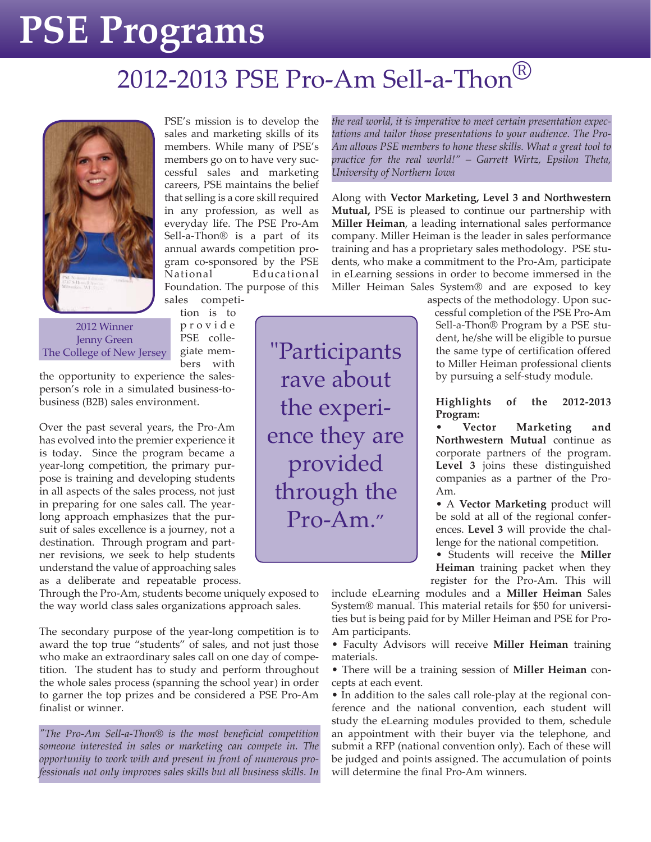## 2012-2013 PSE Pro-Am Sell-a-Thon<sup>®</sup>



PSE's mission is to develop the sales and marketing skills of its members. While many of PSE's members go on to have very successful sales and marketing careers, PSE maintains the belief that selling is a core skill required in any profession, as well as everyday life. The PSE Pro-Am Sell-a-Thon® is a part of its annual awards competition program co-sponsored by the PSE National Educational Foundation. The purpose of this sales competi-

2012 Winner Jenny Green The College of New Jersey

tion is to p r o v i d e PSE collegiate mem-

bers with

the opportunity to experience the salesperson's role in a simulated business-tobusiness (B2B) sales environment.

Over the past several years, the Pro-Am has evolved into the premier experience it is today. Since the program became a year-long competition, the primary purpose is training and developing students in all aspects of the sales process, not just in preparing for one sales call. The yearlong approach emphasizes that the pursuit of sales excellence is a journey, not a destination. Through program and partner revisions, we seek to help students understand the value of approaching sales

as a deliberate and repeatable process.

Through the Pro-Am, students become uniquely exposed to the way world class sales organizations approach sales.

The secondary purpose of the year-long competition is to award the top true "students" of sales, and not just those who make an extraordinary sales call on one day of competition. The student has to study and perform throughout the whole sales process (spanning the school year) in order to garner the top prizes and be considered a PSE Pro-Am finalist or winner.

*"The Pro-Am Sell-a-Thon® is the most beneficial competition someone interested in sales or marketing can compete in. The opportunity to work with and present in front of numerous professionals not only improves sales skills but all business skills. In* *the real world, it is imperative to meet certain presentation expectations and tailor those presentations to your audience. The Pro-Am allows PSE members to hone these skills. What a great tool to practice for the real world!" – Garrett Wirtz, Epsilon Theta, University of Northern Iowa*

Along with **Vector Marketing, Level 3 and Northwestern Mutual,** PSE is pleased to continue our partnership with **Miller Heiman**, a leading international sales performance company. Miller Heiman is the leader in sales performance training and has a proprietary sales methodology. PSE students, who make a commitment to the Pro-Am, participate in eLearning sessions in order to become immersed in the Miller Heiman Sales System® and are exposed to key

> aspects of the methodology. Upon successful completion of the PSE Pro-Am Sell-a-Thon® Program by a PSE student, he/she will be eligible to pursue the same type of certification offered to Miller Heiman professional clients by pursuing a self-study module.

**Highlights of the 2012-2013 Program:**

**Marketing** and **Northwestern Mutual** continue as corporate partners of the program. **Level 3** joins these distinguished companies as a partner of the Pro-Am.

• A **Vector Marketing** product will be sold at all of the regional conferences. **Level 3** will provide the challenge for the national competition.

• Students will receive the **Miller Heiman** training packet when they register for the Pro-Am. This will

include eLearning modules and a **Miller Heiman** Sales System® manual. This material retails for \$50 for universities but is being paid for by Miller Heiman and PSE for Pro-Am participants.

• Faculty Advisors will receive **Miller Heiman** training materials.

• There will be a training session of **Miller Heiman** concepts at each event.

• In addition to the sales call role-play at the regional conference and the national convention, each student will study the eLearning modules provided to them, schedule an appointment with their buyer via the telephone, and submit a RFP (national convention only). Each of these will be judged and points assigned. The accumulation of points will determine the final Pro-Am winners.

"Participants rave about the experience they are provided through the Pro-Am."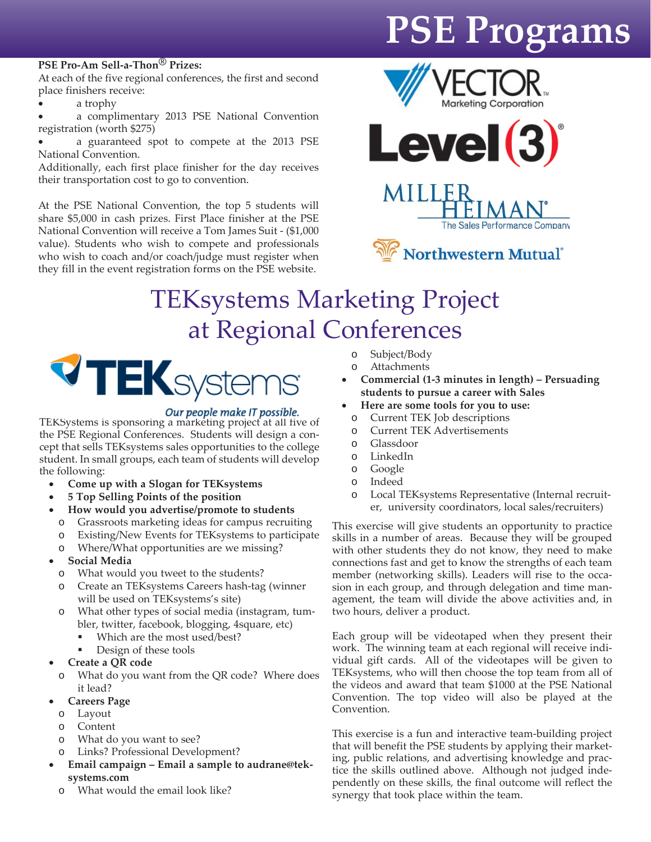#### **PSE Pro-Am Sell-a-Thon® Prizes:**

At each of the five regional conferences, the first and second place finishers receive:

a trophy

a complimentary 2013 PSE National Convention registration (worth \$275)

• a guaranteed spot to compete at the 2013 PSE National Convention.

Additionally, each first place finisher for the day receives their transportation cost to go to convention.

At the PSE National Convention, the top 5 students will share \$5,000 in cash prizes. First Place finisher at the PSE National Convention will receive a Tom James Suit - (\$1,000 value). Students who wish to compete and professionals who wish to coach and/or coach/judge must register when they fill in the event registration forms on the PSE website.









## TEKsystems Marketing Project at Regional Conferences



**Our people make IT possible.**<br>TEKSystems is sponsoring a marketing project at all five of the PSE Regional Conferences. Students will design a concept that sells TEKsystems sales opportunities to the college student. In small groups, each team of students will develop the following:

- **Come up with a Slogan for TEKsystems**
- **5 Top Selling Points of the position**
- **How would you advertise/promote to students** o Grassroots marketing ideas for campus recruiting
	- o Existing/New Events for TEKsystems to participate
	- o Where/What opportunities are we missing?
- **Social Media**
	- o What would you tweet to the students?
	- o Create an TEKsystems Careers hash-tag (winner will be used on TEKsystems's site)
	- o What other types of social media (instagram, tumbler, twitter, facebook, blogging, 4square, etc)
		- Which are the most used/best?
		- Design of these tools
- **Create a QR code**
- o What do you want from the QR code? Where does it lead?
- **Careers Page**
	- o Layout
	- o Content
	- o What do you want to see?
	- o Links? Professional Development?
- **Email campaign Email a sample to audrane@teksystems.com**
- o What would the email look like?
- o Subject/Body
- o Attachments
- **Commercial (1-3 minutes in length) Persuading students to pursue a career with Sales**
- **Here are some tools for you to use:**
- o Current TEK Job descriptions
- o Current TEK Advertisements
- o Glassdoor
- o LinkedIn
- o Google
- o Indeed
- o Local TEKsystems Representative (Internal recruiter, university coordinators, local sales/recruiters)

This exercise will give students an opportunity to practice skills in a number of areas. Because they will be grouped with other students they do not know, they need to make connections fast and get to know the strengths of each team member (networking skills). Leaders will rise to the occasion in each group, and through delegation and time management, the team will divide the above activities and, in two hours, deliver a product.

Each group will be videotaped when they present their work. The winning team at each regional will receive individual gift cards. All of the videotapes will be given to TEKsystems, who will then choose the top team from all of the videos and award that team \$1000 at the PSE National Convention. The top video will also be played at the Convention.

This exercise is a fun and interactive team-building project that will benefit the PSE students by applying their marketing, public relations, and advertising knowledge and practice the skills outlined above. Although not judged independently on these skills, the final outcome will reflect the synergy that took place within the team.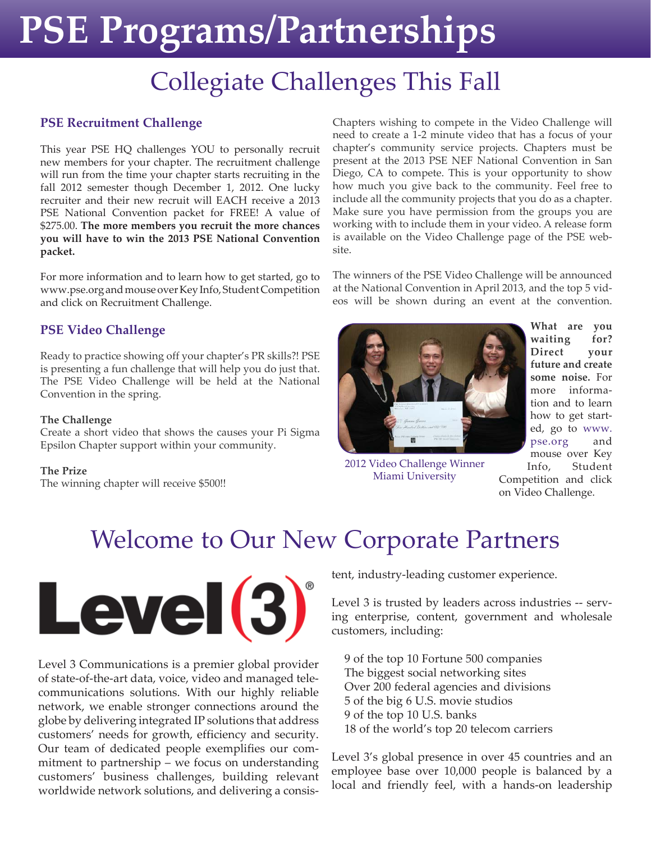# **PSE Programs/Partnerships**

# Collegiate Challenges This Fall

#### **PSE Recruitment Challenge**

This year PSE HQ challenges YOU to personally recruit new members for your chapter. The recruitment challenge will run from the time your chapter starts recruiting in the fall 2012 semester though December 1, 2012. One lucky recruiter and their new recruit will EACH receive a 2013 PSE National Convention packet for FREE! A value of \$275.00. **The more members you recruit the more chances you will have to win the 2013 PSE National Convention packet.**

For more information and to learn how to get started, go to www.pse.org and mouse over Key Info, Student Competition and click on Recruitment Challenge.

#### **PSE Video Challenge**

Ready to practice showing off your chapter's PR skills?! PSE is presenting a fun challenge that will help you do just that. The PSE Video Challenge will be held at the National Convention in the spring.

#### **The Challenge**

Create a short video that shows the causes your Pi Sigma Epsilon Chapter support within your community.

#### **The Prize**

The winning chapter will receive \$500!!

Chapters wishing to compete in the Video Challenge will need to create a 1-2 minute video that has a focus of your chapter's community service projects. Chapters must be present at the 2013 PSE NEF National Convention in San Diego, CA to compete. This is your opportunity to show how much you give back to the community. Feel free to include all the community projects that you do as a chapter. Make sure you have permission from the groups you are working with to include them in your video. A release form is available on the Video Challenge page of the PSE website.

The winners of the PSE Video Challenge will be announced at the National Convention in April 2013, and the top 5 videos will be shown during an event at the convention.



2012 Video Challenge Winner Miami University

**What are you waiting for? Direct your future and create some noise.** For more information and to learn how to get started, go to www. pse.org and mouse over Key Info, Student

Competition and click on Video Challenge.

## Welcome to Our New Corporate Partners



Level 3 Communications is a premier global provider of state-of-the-art data, voice, video and managed telecommunications solutions. With our highly reliable network, we enable stronger connections around the globe by delivering integrated IP solutions that address customers' needs for growth, efficiency and security. Our team of dedicated people exemplifies our commitment to partnership – we focus on understanding customers' business challenges, building relevant worldwide network solutions, and delivering a consistent, industry-leading customer experience.

Level 3 is trusted by leaders across industries -- serving enterprise, content, government and wholesale customers, including:

 9 of the top 10 Fortune 500 companies The biggest social networking sites Over 200 federal agencies and divisions 5 of the big 6 U.S. movie studios 9 of the top 10 U.S. banks 18 of the world's top 20 telecom carriers

Level 3's global presence in over 45 countries and an employee base over 10,000 people is balanced by a local and friendly feel, with a hands-on leadership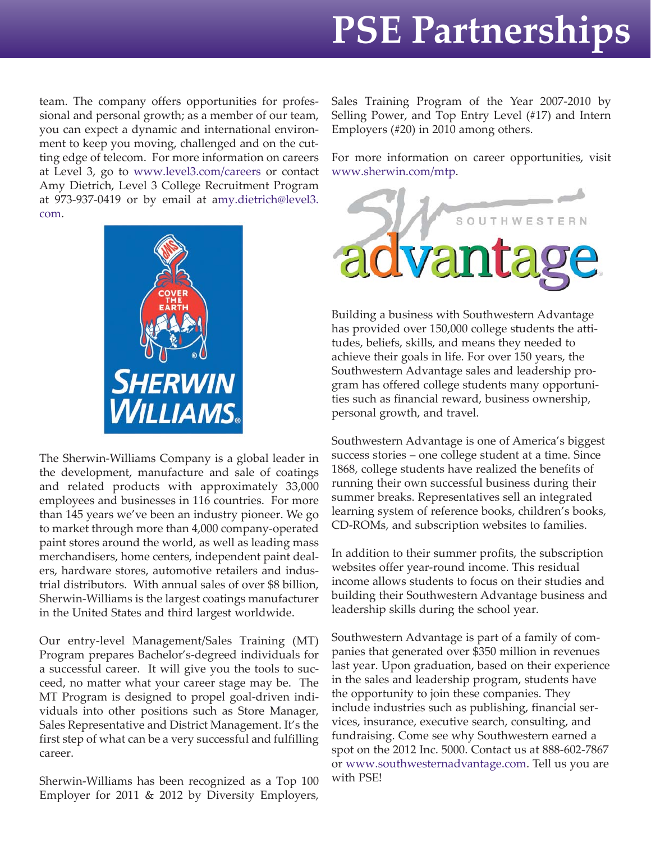# **PSE Partnerships**

team. The company offers opportunities for professional and personal growth; as a member of our team, you can expect a dynamic and international environment to keep you moving, challenged and on the cutting edge of telecom. For more information on careers at Level 3, go to www.level3.com/careers or contact Amy Dietrich, Level 3 College Recruitment Program at 973-937-0419 or by email at amy.dietrich@level3. com.



The Sherwin-Williams Company is a global leader in the development, manufacture and sale of coatings and related products with approximately 33,000 employees and businesses in 116 countries. For more than 145 years we've been an industry pioneer. We go to market through more than 4,000 company-operated paint stores around the world, as well as leading mass merchandisers, home centers, independent paint dealers, hardware stores, automotive retailers and industrial distributors. With annual sales of over \$8 billion, Sherwin-Williams is the largest coatings manufacturer in the United States and third largest worldwide.

Our entry-level Management/Sales Training (MT) Program prepares Bachelor's-degreed individuals for a successful career. It will give you the tools to succeed, no matter what your career stage may be. The MT Program is designed to propel goal-driven individuals into other positions such as Store Manager, Sales Representative and District Management. It's the first step of what can be a very successful and fulfilling career.

Sherwin-Williams has been recognized as a Top 100 Employer for 2011 & 2012 by Diversity Employers, Sales Training Program of the Year 2007-2010 by Selling Power, and Top Entry Level (#17) and Intern Employers (#20) in 2010 among others.

For more information on career opportunities, visit www.sherwin.com/mtp.



Building a business with Southwestern Advantage has provided over 150,000 college students the attitudes, beliefs, skills, and means they needed to achieve their goals in life. For over 150 years, the Southwestern Advantage sales and leadership program has offered college students many opportunities such as financial reward, business ownership, personal growth, and travel.

Southwestern Advantage is one of America's biggest success stories – one college student at a time. Since 1868, college students have realized the benefits of running their own successful business during their summer breaks. Representatives sell an integrated learning system of reference books, children's books, CD-ROMs, and subscription websites to families.

In addition to their summer profits, the subscription websites offer year-round income. This residual income allows students to focus on their studies and building their Southwestern Advantage business and leadership skills during the school year.

Southwestern Advantage is part of a family of companies that generated over \$350 million in revenues last year. Upon graduation, based on their experience in the sales and leadership program, students have the opportunity to join these companies. They include industries such as publishing, financial services, insurance, executive search, consulting, and fundraising. Come see why Southwestern earned a spot on the 2012 Inc. 5000. Contact us at 888-602-7867 or www.southwesternadvantage.com. Tell us you are with PSE!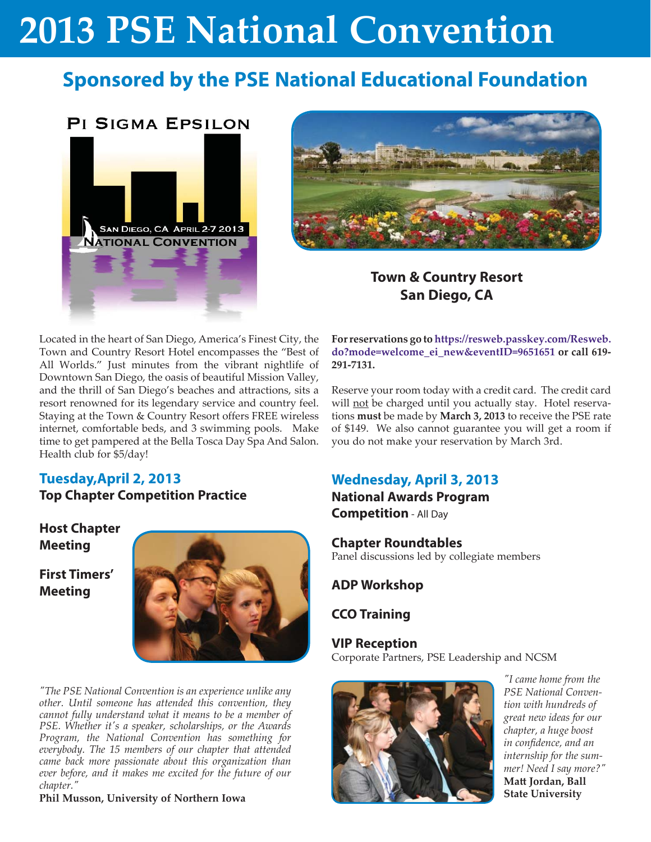## **Sponsored by the PSE National Educational Foundation**

#### **PI SIGMA EPSILON**





### **Town & Country Resort San Diego, CA**

Located in the heart of San Diego, America's Finest City, the Town and Country Resort Hotel encompasses the "Best of All Worlds." Just minutes from the vibrant nightlife of Downtown San Diego, the oasis of beautiful Mission Valley, and the thrill of San Diego's beaches and attractions, sits a resort renowned for its legendary service and country feel. Staying at the Town & Country Resort offers FREE wireless internet, comfortable beds, and 3 swimming pools. Make time to get pampered at the Bella Tosca Day Spa And Salon. Health club for \$5/day!

#### **Tuesday,April 2, 2013 Top Chapter Competition Practice**

#### **Host Chapter Meeting**

**First Timers' Meeting**



*"The PSE National Convention is an experience unlike any other. Until someone has attended this convention, they cannot fully understand what it means to be a member of PSE. Whether it's a speaker, scholarships, or the Awards Program, the National Convention has something for everybody. The 15 members of our chapter that attended came back more passionate about this organization than ever before, and it makes me excited for the future of our chapter."*

**Phil Musson, University of Northern Iowa**

**For reservations go to https://resweb.passkey.com/Resweb. do?mode=welcome\_ei\_new&eventID=9651651 or call 619- 291-7131.**

Reserve your room today with a credit card. The credit card will not be charged until you actually stay. Hotel reservations **must** be made by **March 3, 2013** to receive the PSE rate of \$149. We also cannot guarantee you will get a room if you do not make your reservation by March 3rd.

### **Wednesday, April 3, 2013**

**National Awards Program Competition** - All Day

**Chapter Roundtables** Panel discussions led by collegiate members

**ADP Workshop**

**CCO Training**

**VIP Reception** Corporate Partners, PSE Leadership and NCSM



*"I came home from the PSE National Convention with hundreds of great new ideas for our chapter, a huge boost in confidence, and an internship for the summer! Need I say more?"* **Matt Jordan, Ball State University**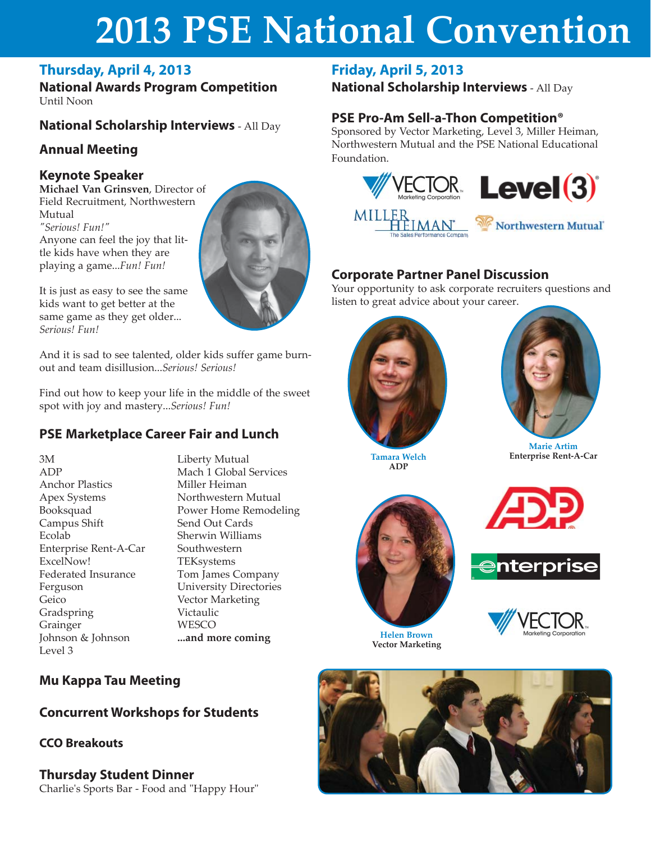### **Thursday, April 4, 2013**

**National Awards Program Competition** Until Noon

### **National Scholarship Interviews** - All Day

### **Annual Meeting**

#### **Keynote Speaker**

**Michael Van Grinsven**, Director of Field Recruitment, Northwestern Mutual *"Serious! Fun!"* Anyone can feel the joy that little kids have when they are playing a game...*Fun! Fun!*

It is just as easy to see the same kids want to get better at the same game as they get older... *Serious! Fun!*

And it is sad to see talented, older kids suffer game burnout and team disillusion...*Serious! Serious!*

Find out how to keep your life in the middle of the sweet spot with joy and mastery...*Serious! Fun!*

### **PSE Marketplace Career Fair and Lunch**

3M ADP Anchor Plastics Apex Systems Booksquad Campus Shift Ecolab Enterprise Rent-A-Car ExcelNow! Federated Insurance Ferguson Geico Gradspring Grainger Johnson & Johnson Level 3

Liberty Mutual Mach 1 Global Services Miller Heiman Northwestern Mutual Power Home Remodeling Send Out Cards Sherwin Williams Southwestern **TEKsystems** Tom James Company University Directories Vector Marketing Victaulic **WESCO ...and more coming Helen Brown** 

### **Friday, April 5, 2013**

**National Scholarship Interviews** - All Day

### **PSE Pro-Am Sell-a-Thon Competition®**

Sponsored by Vector Marketing, Level 3, Miller Heiman, Northwestern Mutual and the PSE National Educational Foundation.



### **Corporate Partner Panel Discussion**

Your opportunity to ask corporate recruiters questions and listen to great advice about your career.





**Tamara Welch Enterprise Rent-A-Car ADP**



**Vector Marketing**





**Mu Kappa Tau Meeting**

### **Concurrent Workshops for Students**

#### **CCO Breakouts**

**Thursday Student Dinner** Charlie's Sports Bar - Food and "Happy Hour"

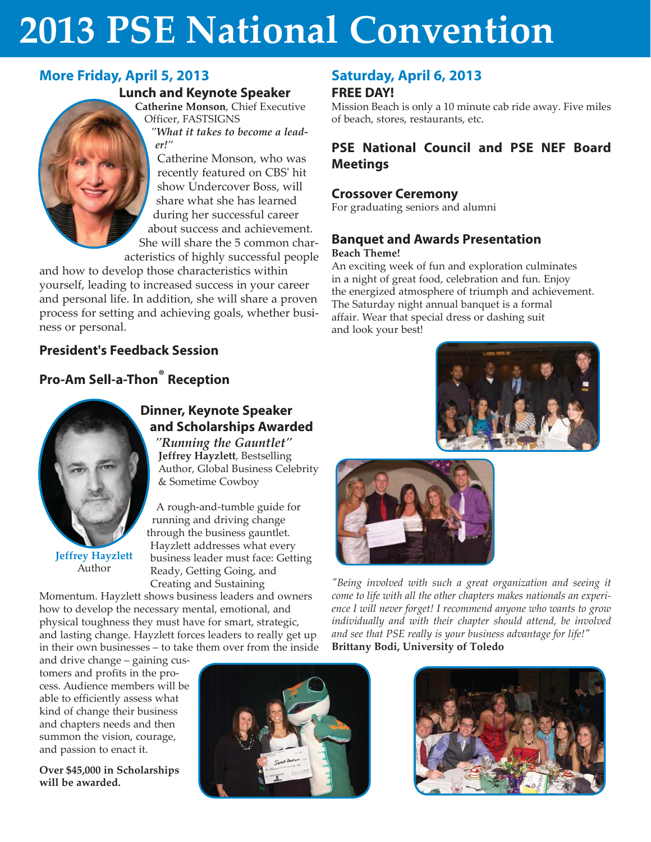### **More Friday, April 5, 2013**

#### **Lunch and Keynote Speaker**

**Catherine Monson**, Chief Executive Officer, FASTSIGNS *"What it takes to become a lead-*

*er!"*

Catherine Monson, who was recently featured on CBS' hit show Undercover Boss, will share what she has learned during her successful career about success and achievement. She will share the 5 common char-

acteristics of highly successful people

and how to develop those characteristics within yourself, leading to increased success in your career and personal life. In addition, she will share a proven process for setting and achieving goals, whether business or personal.

#### **President's Feedback Session**

### **Pro-Am Sell-a-Thon® Reception**



**Jeffrey Hayzlett** Author

### **Dinner, Keynote Speaker and Scholarships Awarded**

*"Running the Gauntlet"* **Jeffrey Hayzlett**, Bestselling Author, Global Business Celebrity & Sometime Cowboy

A rough-and-tumble guide for running and driving change through the business gauntlet. Hayzlett addresses what every business leader must face: Getting Ready, Getting Going, and Creating and Sustaining

Momentum. Hayzlett shows business leaders and owners how to develop the necessary mental, emotional, and physical toughness they must have for smart, strategic, and lasting change. Hayzlett forces leaders to really get up in their own businesses – to take them over from the inside

and drive change – gaining customers and profits in the process. Audience members will be able to efficiently assess what kind of change their business and chapters needs and then summon the vision, courage, and passion to enact it.

**Over \$45,000 in Scholarships will be awarded.**



#### **Saturday, April 6, 2013 FREE DAY!**

Mission Beach is only a 10 minute cab ride away. Five miles of beach, stores, restaurants, etc.

#### **PSE National Council and PSE NEF Board Meetings**

#### **Crossover Ceremony**

For graduating seniors and alumni

#### **Banquet and Awards Presentation Beach Theme!**

An exciting week of fun and exploration culminates in a night of great food, celebration and fun. Enjoy the energized atmosphere of triumph and achievement. The Saturday night annual banquet is a formal affair. Wear that special dress or dashing suit

and look your best!





*"Being involved with such a great organization and seeing it come to life with all the other chapters makes nationals an experience I will never forget! I recommend anyone who wants to grow individually and with their chapter should attend, be involved and see that PSE really is your business advantage for life!"* **Brittany Bodi, University of Toledo**

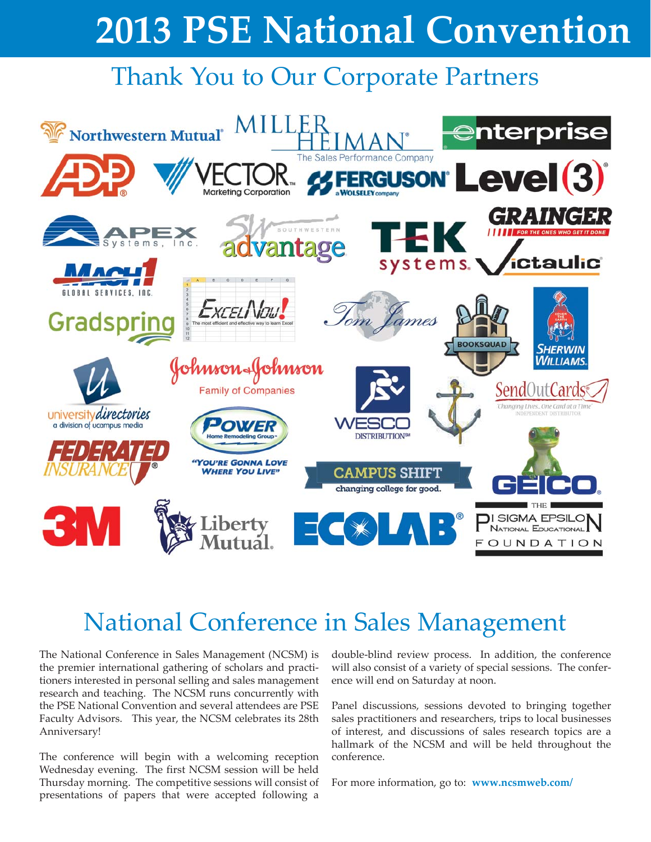## Thank You to Our Corporate Partners



## National Conference in Sales Management

The National Conference in Sales Management (NCSM) is the premier international gathering of scholars and practitioners interested in personal selling and sales management research and teaching. The NCSM runs concurrently with the PSE National Convention and several attendees are PSE Faculty Advisors. This year, the NCSM celebrates its 28th Anniversary!

The conference will begin with a welcoming reception Wednesday evening. The first NCSM session will be held Thursday morning. The competitive sessions will consist of presentations of papers that were accepted following a

double-blind review process. In addition, the conference will also consist of a variety of special sessions. The conference will end on Saturday at noon.

Panel discussions, sessions devoted to bringing together sales practitioners and researchers, trips to local businesses of interest, and discussions of sales research topics are a hallmark of the NCSM and will be held throughout the conference.

For more information, go to: **www.ncsmweb.com/**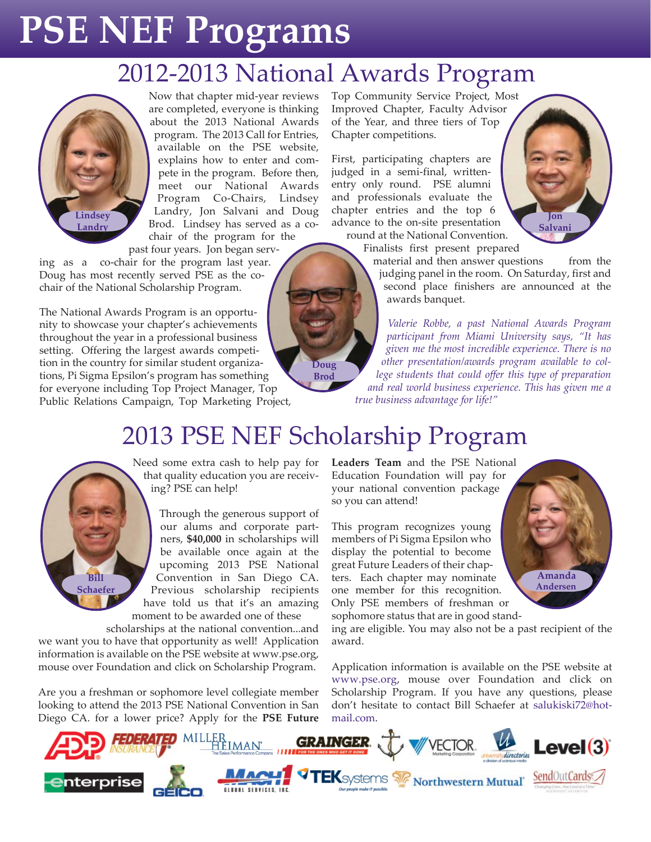# **PSE NEF Programs**

## 2012-2013 National Awards Program



Now that chapter mid-year reviews are completed, everyone is thinking about the 2013 National Awards program. The 2013 Call for Entries, available on the PSE website, explains how to enter and compete in the program. Before then, meet our National Awards Program Co-Chairs, Lindsey Landry, Jon Salvani and Doug Brod. Lindsey has served as a cochair of the program for the

past four years. Jon began serv-

ing as a co-chair for the program last year. Doug has most recently served PSE as the cochair of the National Scholarship Program.

The National Awards Program is an opportunity to showcase your chapter's achievements throughout the year in a professional business setting. Offering the largest awards competition in the country for similar student organizations, Pi Sigma Epsilon's program has something for everyone including Top Project Manager, Top Public Relations Campaign, Top Marketing Project, Top Community Service Project, Most Improved Chapter, Faculty Advisor of the Year, and three tiers of Top Chapter competitions.

First, participating chapters are judged in a semi-final, writtenentry only round. PSE alumni and professionals evaluate the chapter entries and the top 6 advance to the on-site presentation round at the National Convention.

**Jon Salvani**

Finalists first present prepared

material and then answer questions from the judging panel in the room. On Saturday, first and second place finishers are announced at the awards banquet.

*Valerie Robbe, a past National Awards Program participant from Miami University says, "It has given me the most incredible experience. There is no other presentation/awards program available to college students that could offer this type of preparation and real world business experience. This has given me a true business advantage for life!"*

## 2013 PSE NEF Scholarship Program

**Doug Brod**



Need some extra cash to help pay for that quality education you are receiving? PSE can help!

Through the generous support of our alums and corporate partners, **\$40,000** in scholarships will be available once again at the upcoming 2013 PSE National Convention in San Diego CA. Previous scholarship recipients have told us that it's an amazing moment to be awarded one of these

 scholarships at the national convention...and we want you to have that opportunity as well! Application information is available on the PSE website at www.pse.org, mouse over Foundation and click on Scholarship Program.

Are you a freshman or sophomore level collegiate member looking to attend the 2013 PSE National Convention in San Diego CA. for a lower price? Apply for the **PSE Future**  **Leaders Team** and the PSE National Education Foundation will pay for your national convention package so you can attend!

This program recognizes young members of Pi Sigma Epsilon who display the potential to become great Future Leaders of their chapters. Each chapter may nominate one member for this recognition. Only PSE members of freshman or sophomore status that are in good stand-

**Amanda Andersen**

ing are eligible. You may also not be a past recipient of the award.

Application information is available on the PSE website at www.pse.org, mouse over Foundation and click on Scholarship Program. If you have any questions, please don't hesitate to contact Bill Schaefer at salukiski72@hotmail.com.

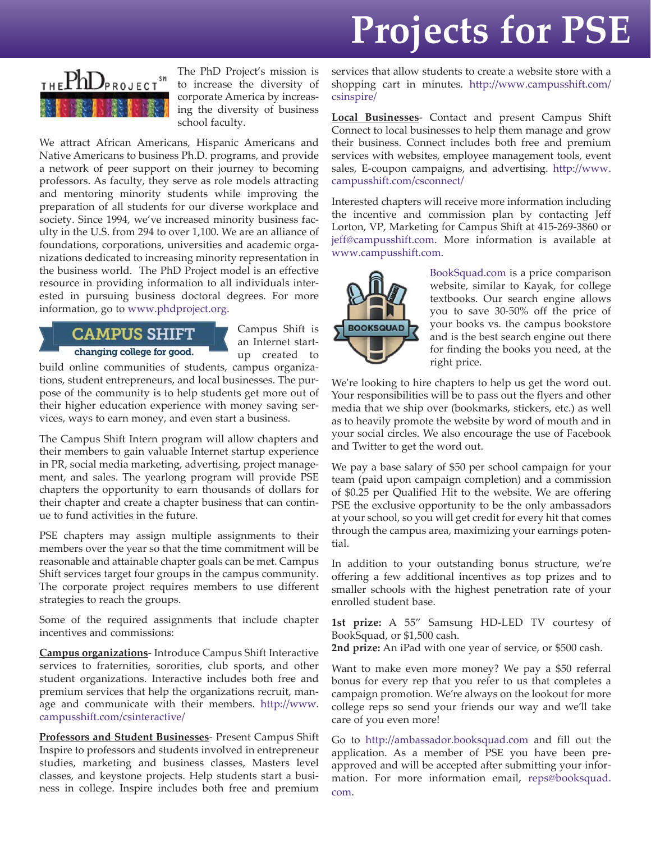# **Projects for PSE**



The PhD Project's mission is to increase the diversity of corporate America by increasing the diversity of business school faculty.

We attract African Americans, Hispanic Americans and Native Americans to business Ph.D. programs, and provide a network of peer support on their journey to becoming professors. As faculty, they serve as role models attracting and mentoring minority students while improving the preparation of all students for our diverse workplace and society. Since 1994, we've increased minority business faculty in the U.S. from 294 to over 1,100. We are an alliance of foundations, corporations, universities and academic organizations dedicated to increasing minority representation in the business world. The PhD Project model is an effective resource in providing information to all individuals interested in pursuing business doctoral degrees. For more information, go to www.phdproject.org.

#### **CAMPUS SHIFT** changing college for good.

Campus Shift is an Internet startup created to

build online communities of students, campus organizations, student entrepreneurs, and local businesses. The purpose of the community is to help students get more out of their higher education experience with money saving services, ways to earn money, and even start a business.

The Campus Shift Intern program will allow chapters and their members to gain valuable Internet startup experience in PR, social media marketing, advertising, project management, and sales. The yearlong program will provide PSE chapters the opportunity to earn thousands of dollars for their chapter and create a chapter business that can continue to fund activities in the future.

PSE chapters may assign multiple assignments to their members over the year so that the time commitment will be reasonable and attainable chapter goals can be met. Campus Shift services target four groups in the campus community. The corporate project requires members to use different strategies to reach the groups.

Some of the required assignments that include chapter incentives and commissions:

**Campus organizations**- Introduce Campus Shift Interactive services to fraternities, sororities, club sports, and other student organizations. Interactive includes both free and premium services that help the organizations recruit, manage and communicate with their members. http://www. campusshift.com/csinteractive/

**Professors and Student Businesses**- Present Campus Shift Inspire to professors and students involved in entrepreneur studies, marketing and business classes, Masters level classes, and keystone projects. Help students start a business in college. Inspire includes both free and premium

services that allow students to create a website store with a shopping cart in minutes. http://www.campusshift.com/ csinspire/

**Local Businesses**- Contact and present Campus Shift Connect to local businesses to help them manage and grow their business. Connect includes both free and premium services with websites, employee management tools, event sales, E-coupon campaigns, and advertising. http://www. campusshift.com/csconnect/

Interested chapters will receive more information including the incentive and commission plan by contacting Jeff Lorton, VP, Marketing for Campus Shift at 415-269-3860 or jeff@campusshift.com. More information is available at www.campusshift.com.



BookSquad.com is a price comparison website, similar to Kayak, for college textbooks. Our search engine allows you to save 30-50% off the price of your books vs. the campus bookstore and is the best search engine out there for finding the books you need, at the right price.

We're looking to hire chapters to help us get the word out. Your responsibilities will be to pass out the flyers and other media that we ship over (bookmarks, stickers, etc.) as well as to heavily promote the website by word of mouth and in your social circles. We also encourage the use of Facebook and Twitter to get the word out.

We pay a base salary of \$50 per school campaign for your team (paid upon campaign completion) and a commission of \$0.25 per Qualified Hit to the website. We are offering PSE the exclusive opportunity to be the only ambassadors at your school, so you will get credit for every hit that comes through the campus area, maximizing your earnings potential.

In addition to your outstanding bonus structure, we're offering a few additional incentives as top prizes and to smaller schools with the highest penetration rate of your enrolled student base.

**1st prize:** A 55" Samsung HD-LED TV courtesy of BookSquad, or \$1,500 cash.

**2nd prize:** An iPad with one year of service, or \$500 cash.

Want to make even more money? We pay a \$50 referral bonus for every rep that you refer to us that completes a campaign promotion. We're always on the lookout for more college reps so send your friends our way and we'll take care of you even more!

Go to http://ambassador.booksquad.com and fill out the application. As a member of PSE you have been preapproved and will be accepted after submitting your information. For more information email, reps@booksquad. com.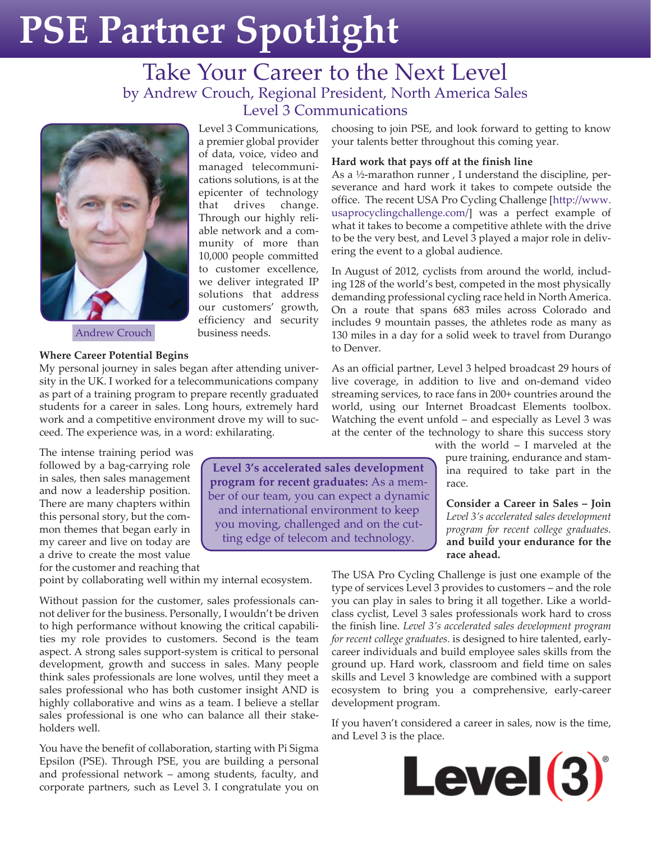# **PSE Partner Spotlight**

Level 3 Communications, a premier global provider of data, voice, video and managed telecommunications solutions, is at the epicenter of technology that drives change. Through our highly reliable network and a community of more than 10,000 people committed to customer excellence, we deliver integrated IP solutions that address our customers' growth, efficiency and security

business needs.

### Take Your Career to the Next Level by Andrew Crouch, Regional President, North America Sales Level 3 Communications



Andrew Crouch

#### **Where Career Potential Begins**

My personal journey in sales began after attending university in the UK. I worked for a telecommunications company as part of a training program to prepare recently graduated students for a career in sales. Long hours, extremely hard work and a competitive environment drove my will to succeed. The experience was, in a word: exhilarating.

The intense training period was followed by a bag-carrying role in sales, then sales management and now a leadership position. There are many chapters within this personal story, but the common themes that began early in my career and live on today are a drive to create the most value for the customer and reaching that

point by collaborating well within my internal ecosystem.

Without passion for the customer, sales professionals cannot deliver for the business. Personally, I wouldn't be driven to high performance without knowing the critical capabilities my role provides to customers. Second is the team aspect. A strong sales support-system is critical to personal development, growth and success in sales. Many people think sales professionals are lone wolves, until they meet a sales professional who has both customer insight AND is highly collaborative and wins as a team. I believe a stellar sales professional is one who can balance all their stakeholders well.

You have the benefit of collaboration, starting with Pi Sigma Epsilon (PSE). Through PSE, you are building a personal and professional network – among students, faculty, and corporate partners, such as Level 3. I congratulate you on

choosing to join PSE, and look forward to getting to know your talents better throughout this coming year.

#### **Hard work that pays off at the finish line**

As a ½-marathon runner , I understand the discipline, perseverance and hard work it takes to compete outside the office. The recent USA Pro Cycling Challenge [http://www. usaprocyclingchallenge.com/] was a perfect example of what it takes to become a competitive athlete with the drive to be the very best, and Level 3 played a major role in delivering the event to a global audience.

In August of 2012, cyclists from around the world, including 128 of the world's best, competed in the most physically demanding professional cycling race held in North America. On a route that spans 683 miles across Colorado and includes 9 mountain passes, the athletes rode as many as 130 miles in a day for a solid week to travel from Durango to Denver.

As an official partner, Level 3 helped broadcast 29 hours of live coverage, in addition to live and on-demand video streaming services, to race fans in 200+ countries around the world, using our Internet Broadcast Elements toolbox. Watching the event unfold – and especially as Level 3 was at the center of the technology to share this success story

with the world – I marveled at the pure training, endurance and stamina required to take part in the race.

**Consider a Career in Sales – Join**  *Level 3's accelerated sales development program for recent college graduates.* **and build your endurance for the race ahead.**

The USA Pro Cycling Challenge is just one example of the type of services Level 3 provides to customers – and the role you can play in sales to bring it all together. Like a worldclass cyclist, Level 3 sales professionals work hard to cross the finish line. *Level 3's accelerated sales development program for recent college graduates.* is designed to hire talented, earlycareer individuals and build employee sales skills from the ground up. Hard work, classroom and field time on sales skills and Level 3 knowledge are combined with a support ecosystem to bring you a comprehensive, early-career development program.

If you haven't considered a career in sales, now is the time, and Level 3 is the place.



**Level 3's accelerated sales development program for recent graduates:** As a member of our team, you can expect a dynamic and international environment to keep you moving, challenged and on the cutting edge of telecom and technology.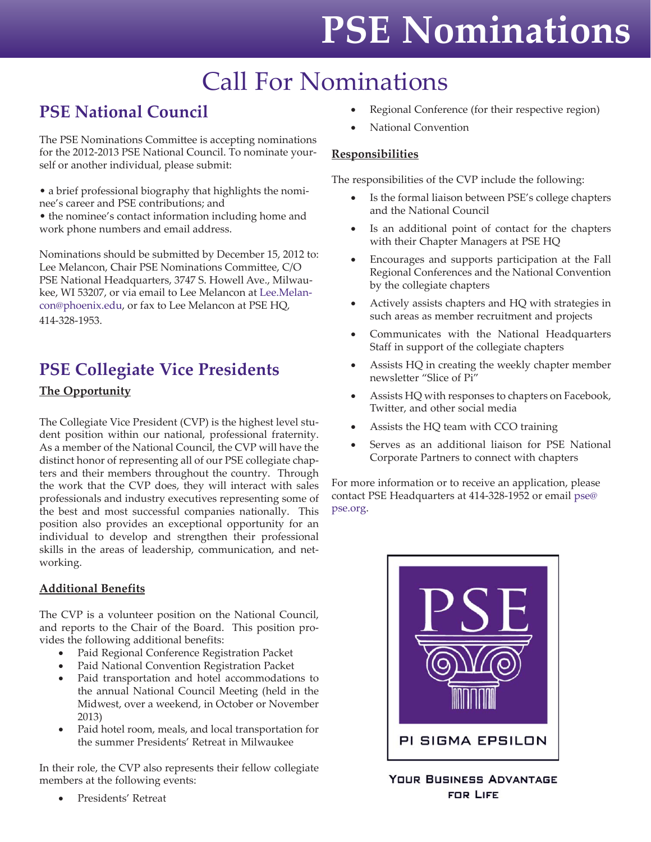# **PSE Nominations**

## Call For Nominations

## **PSE National Council**

The PSE Nominations Committee is accepting nominations for the 2012-2013 PSE National Council. To nominate yourself or another individual, please submit:

• a brief professional biography that highlights the nominee's career and PSE contributions; and

• the nominee's contact information including home and work phone numbers and email address.

Nominations should be submitted by December 15, 2012 to: Lee Melancon, Chair PSE Nominations Committee, C/O PSE National Headquarters, 3747 S. Howell Ave., Milwaukee, WI 53207, or via email to Lee Melancon at Lee.Melancon@phoenix.edu, or fax to Lee Melancon at PSE HQ, 414-328-1953.

### **PSE Collegiate Vice Presidents The Opportunity**

The Collegiate Vice President (CVP) is the highest level student position within our national, professional fraternity. As a member of the National Council, the CVP will have the distinct honor of representing all of our PSE collegiate chapters and their members throughout the country. Through the work that the CVP does, they will interact with sales professionals and industry executives representing some of the best and most successful companies nationally. This position also provides an exceptional opportunity for an individual to develop and strengthen their professional skills in the areas of leadership, communication, and networking.

#### **Additional Benefits**

The CVP is a volunteer position on the National Council, and reports to the Chair of the Board. This position provides the following additional benefits:

- Paid Regional Conference Registration Packet
- Paid National Convention Registration Packet
- Paid transportation and hotel accommodations to the annual National Council Meeting (held in the Midwest, over a weekend, in October or November 2013)
- Paid hotel room, meals, and local transportation for the summer Presidents' Retreat in Milwaukee

In their role, the CVP also represents their fellow collegiate members at the following events:

• Presidents' Retreat

- Regional Conference (for their respective region)
- National Convention

#### **Responsibilities**

The responsibilities of the CVP include the following:

- Is the formal liaison between PSE's college chapters and the National Council
- Is an additional point of contact for the chapters with their Chapter Managers at PSE HQ
- Encourages and supports participation at the Fall Regional Conferences and the National Convention by the collegiate chapters
- Actively assists chapters and HQ with strategies in such areas as member recruitment and projects
- Communicates with the National Headquarters Staff in support of the collegiate chapters
- Assists HQ in creating the weekly chapter member newsletter "Slice of Pi"
- Assists HQ with responses to chapters on Facebook, Twitter, and other social media
- Assists the HQ team with CCO training
- Serves as an additional liaison for PSE National Corporate Partners to connect with chapters

For more information or to receive an application, please contact PSE Headquarters at 414-328-1952 or email pse@ pse.org.



**YOUR BUSINESS ADVANTAGE FOR LIFE**